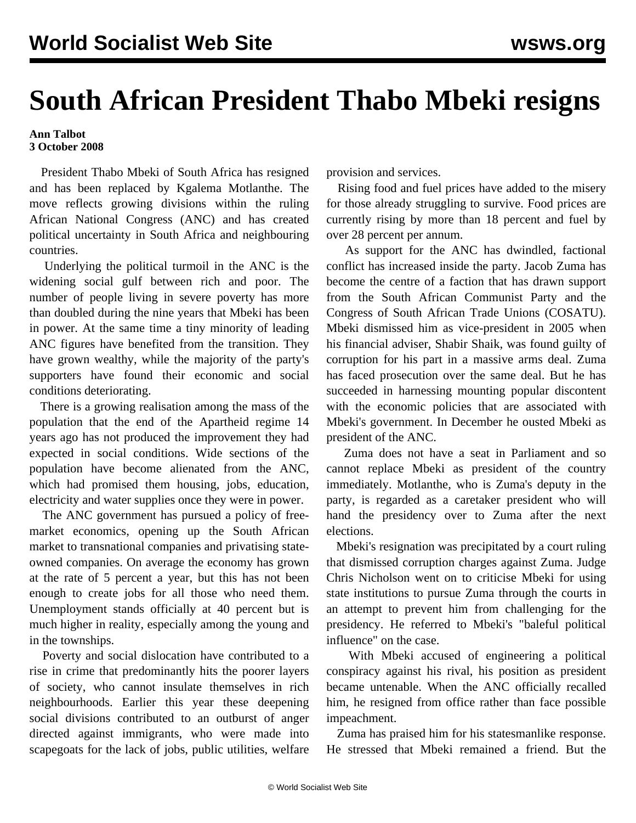## **South African President Thabo Mbeki resigns**

## **Ann Talbot 3 October 2008**

 President Thabo Mbeki of South Africa has resigned and has been replaced by Kgalema Motlanthe. The move reflects growing divisions within the ruling African National Congress (ANC) and has created political uncertainty in South Africa and neighbouring countries.

 Underlying the political turmoil in the ANC is the widening social gulf between rich and poor. The number of people living in severe poverty has more than doubled during the nine years that Mbeki has been in power. At the same time a tiny minority of leading ANC figures have benefited from the transition. They have grown wealthy, while the majority of the party's supporters have found their economic and social conditions deteriorating.

 There is a growing realisation among the mass of the population that the end of the Apartheid regime 14 years ago has not produced the improvement they had expected in social conditions. Wide sections of the population have become alienated from the ANC, which had promised them housing, jobs, education, electricity and water supplies once they were in power.

 The ANC government has pursued a policy of freemarket economics, opening up the South African market to transnational companies and privatising stateowned companies. On average the economy has grown at the rate of 5 percent a year, but this has not been enough to create jobs for all those who need them. Unemployment stands officially at 40 percent but is much higher in reality, especially among the young and in the townships.

 Poverty and social dislocation have contributed to a rise in crime that predominantly hits the poorer layers of society, who cannot insulate themselves in rich neighbourhoods. Earlier this year these deepening social divisions contributed to an outburst of anger directed against immigrants, who were made into scapegoats for the lack of jobs, public utilities, welfare provision and services.

 Rising food and fuel prices have added to the misery for those already struggling to survive. Food prices are currently rising by more than 18 percent and fuel by over 28 percent per annum.

 As support for the ANC has dwindled, factional conflict has increased inside the party. Jacob Zuma has become the centre of a faction that has drawn support from the South African Communist Party and the Congress of South African Trade Unions (COSATU). Mbeki dismissed him as vice-president in 2005 when his financial adviser, Shabir Shaik, was found guilty of corruption for his part in a massive arms deal. Zuma has faced prosecution over the same deal. But he has succeeded in harnessing mounting popular discontent with the economic policies that are associated with Mbeki's government. In December he ousted Mbeki as president of the ANC.

 Zuma does not have a seat in Parliament and so cannot replace Mbeki as president of the country immediately. Motlanthe, who is Zuma's deputy in the party, is regarded as a caretaker president who will hand the presidency over to Zuma after the next elections.

 Mbeki's resignation was precipitated by a court ruling that dismissed corruption charges against Zuma. Judge Chris Nicholson went on to criticise Mbeki for using state institutions to pursue Zuma through the courts in an attempt to prevent him from challenging for the presidency. He referred to Mbeki's "baleful political influence" on the case.

 With Mbeki accused of engineering a political conspiracy against his rival, his position as president became untenable. When the ANC officially recalled him, he resigned from office rather than face possible impeachment.

 Zuma has praised him for his statesmanlike response. He stressed that Mbeki remained a friend. But the